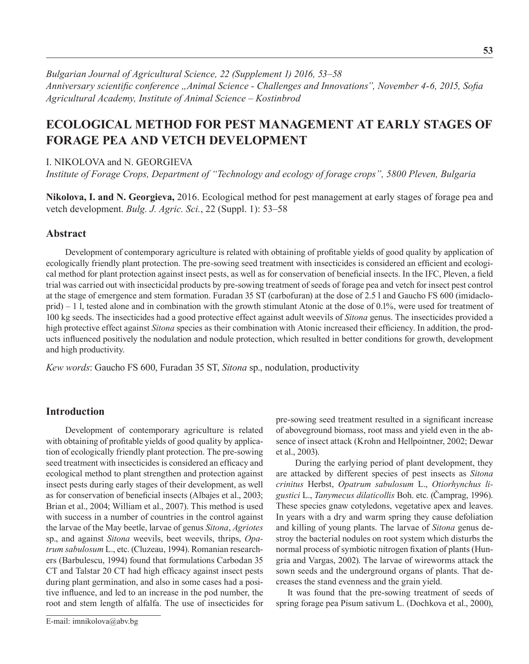*Bulgarian Journal of Agricultural Science, 22 (Supplement 1) 2016, 53–58 Anniversary scientific conference "Animal Science - Challenges and Innovations", November 4-6, 2015, Sofia Agricultural Academy, Institute оf Animal Science – Kostinbrod*

# **Ecological method for pest management at early stages of forage pea and vetch development**

### I. Nikolova and N. Georgieva

*Institute of Forage Crops, Department of "Technology and ecology of forage crops", 5800 Pleven, Bulgaria*

**Nikolova, I. and N. Georgieva,** 2016. Ecological method for pest management at early stages of forage pea and vetch development. *Bulg. J. Agric. Sci.*, 22 (Suppl. 1): 53–58

### **Abstract**

Development of contemporary agriculture is related with obtaining of profitable yields of good quality by application of ecologically friendly plant protection. The pre-sowing seed treatment with insecticides is considered an efficient and ecological method for plant protection against insect pests, as well as for conservation of beneficial insects. In the IFC, Pleven, a field trial was carried out with insecticidal products by pre-sowing treatment of seeds of forage pea and vetch for insect pest control at the stage of emergence and stem formation. Furadan 35 ST (carbofuran) at the dose of 2.5 l and Gaucho FS 600 (imidacloprid) – 1 l, tested alone and in combination with the growth stimulant Atonic at the dose of 0.1%, were used for treatment of 100 kg seeds. The insecticides had a good protective effect against adult weevils of *Sitona* genus. The insecticides provided a high protective effect against *Sitona* species as their combination with Atonic increased their efficiency. In addition, the products influenced positively the nodulation and nodule protection, which resulted in better conditions for growth, development and high productivity.

*Kew words*: Gaucho FS 600, Furadan 35 ST, *Sitona* sp., nodulation, productivity

# **Introduction**

Development of contemporary agriculture is related with obtaining of profitable yields of good quality by application of ecologically friendly plant protection. The pre-sowing seed treatment with insecticides is considered an efficacy and ecological method to plant strengthen and protection against insect pests during early stages of their development, as well as for conservation of beneficial insects (Albajes et al., 2003; Brian et al., 2004; William et al., 2007). This method is used with success in a number of countries in the control against the larvae of the May beetle, larvae of genus *Sitona*, *Agriotes* sp., and against *Sitona* weevils, beet weevils, thrips, *Opatrum sabulosum* L., etc. (Cluzeau, 1994). Romanian researchers (Barbulescu, 1994) found that formulations Carbodan 35 CT and Talstar 20 CT had high efficacy against insect pests during plant germination, and also in some cases had a positive influence, and led to an increase in the pod number, the root and stem length of alfalfa. The use of insecticides for

pre-sowing seed treatment resulted in a significant increase of aboveground biomass, root mass and yield even in the absence of insect attack (Krohn and Hellpointner, 2002; Dewar et al., 2003).

During the earlying period of plant development, they are attacked by different species of pest insects as *Sitona crinitus* Herbst, *Opatrum sabulosum* L., *Otiorhynchus ligustici* L., *Tanymecus dilaticollis* Boh. etc. (Čamprag, 1996). These species gnaw cotyledons, vegetative apex and leaves. In years with a dry and warm spring they cause defoliation and killing of young plants. The larvae of *Sitona* genus destroy the bacterial nodules on root system which disturbs the normal process of symbiotic nitrogen fixation of plants (Hungria and Vargas, 2002). The larvae of wireworms attack the sown seeds and the underground organs of plants. That decreases the stand evenness and the grain yield.

It was found that the pre-sowing treatment of seeds of spring forage pea Pisum sativum L. (Dochkova et al., 2000),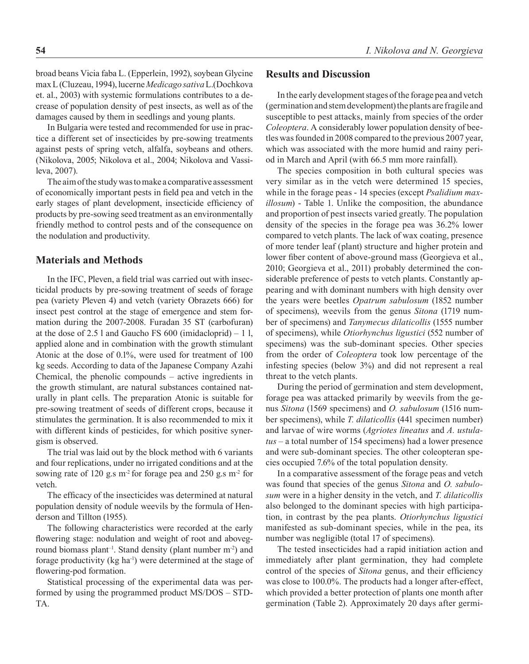broad beans Vicia faba L. (Epperlein, 1992), soybean Glycine max L (Cluzeau, 1994), lucerne *Medicago sativa*L.(Dochkova et. al., 2003) with systemic formulations contributes to a decrease of population density of pest insects, as well as of the damages caused by them in seedlings and young plants.

In Bulgaria were tested and recommended for use in practice a different set of insecticides by pre-sowing treatments against pests of spring vetch, alfalfa, soybeans and others. (Nikolova, 2005; Nikolova et al., 2004; Nikolova and Vassileva, 2007).

The aim of the study was to make a comparative assessment of economically important pests in field pea and vetch in the early stages of plant development, insecticide efficiency of products by pre-sowing seed treatment as an environmentally friendly method to control pests and of the consequence on the nodulation and productivity.

#### **Materials and Methods**

In the IFC, Pleven, a field trial was carried out with insecticidal products by pre-sowing treatment of seeds of forage pea (variety Pleven 4) and vetch (variety Obrazets 666) for insect pest control at the stage of emergence and stem formation during the 2007-2008. Furadan 35 ST (carbofuran) at the dose of  $2.5$  l and Gaucho FS 600 (imidacloprid) – 1 l, applied alone and in combination with the growth stimulant Atonic at the dose of 0.1%, were used for treatment of 100 kg seeds. According to data of the Japanese Company Azahi Chemical, the phenolic compounds – active ingredients in the growth stimulant, are natural substances contained naturally in plant cells. The preparation Atonic is suitable for pre-sowing treatment of seeds of different crops, because it stimulates the germination. It is also recommended to mix it with different kinds of pesticides, for which positive synergism is observed.

The trial was laid out by the block method with 6 variants and four replications, under no irrigated conditions and at the sowing rate of 120 g.s m<sup>-2</sup> for forage pea and 250 g.s m<sup>-2</sup> for vetch.

The efficacy of the insecticides was determined at natural population density of nodule weevils by the formula of Henderson and Tillton (1955).

The following characteristics were recorded at the early flowering stage: nodulation and weight of root and aboveground biomass plant<sup>-1</sup>. Stand density (plant number m<sup>-2</sup>) and forage productivity (kg ha<sup>-1</sup>) were determined at the stage of flowering-pod formation.

Statistical processing of the experimental data was performed by using the programmed product MS/DOS – STD-TA.

## **Results and Discussion**

In the early development stages of the forage pea and vetch (germination and stem development) the plants are fragile and susceptible to pest attacks, mainly from species of the order *Coleoptera*. A considerably lower population density of beetles was founded in 2008 compared to the previous 2007 year, which was associated with the more humid and rainy period in March and April (with 66.5 mm more rainfall).

The species composition in both cultural species was very similar as in the vetch were determined 15 species, while in the forage peas - 14 species (except *Psalidium maxillosum*) - Table 1. Unlike the composition, the abundance and proportion of pest insects varied greatly. The population density of the species in the forage pea was 36.2% lower compared to vetch plants. The lack of wax coating, presence of more tender leaf (plant) structure and higher protein and lower fiber content of above-ground mass (Georgieva et al., 2010; Georgieva et al., 2011) probably determined the considerable preference of pests to vetch plants. Constantly appearing and with dominant numbers with high density over the years were beetles *Opatrum sabulosum* (1852 number of specimens), weevils from the genus *Sitona* (1719 number of specimens) and *Tanymecus dilaticollis* (1555 number of specimens), while *Otiorhynchus ligustici* (552 number of specimens) was the sub-dominant species. Other species from the order of *Coleoptera* took low percentage of the infesting species (below 3%) and did not represent a real threat to the vetch plants.

During the period of germination and stem development, forage pea was attacked primarily by weevils from the genus *Sitona* (1569 specimens) and *O. sabulosum* (1516 number specimens), while *T. dilaticollis* (441 specimen number) and larvae of wire worms (*Agriotes lineatus* and *A. ustulatus* – а total number of 154 specimens) had a lower presence and were sub-dominant species. The other coleopteran species occupied 7.6% of the total population density.

In a comparative assessment of the forage peas and vetch was found that species of the genus *Sitona* and *O. sabulosum* were in a higher density in the vetch, and *T. dilaticollis* also belonged to the dominant species with high participation, in contrast by the pea plants. *Otiorhynchus ligustici* manifested as sub-dominant species, while in the pea, its number was negligible (total 17 of specimens).

The tested insecticides had a rapid initiation action and immediately after plant germination, they had complete control of the species of *Sitona* genus, and their efficiency was close to 100.0%. The products had a longer after-effect, which provided a better protection of plants one month after germination (Table 2). Approximately 20 days after germi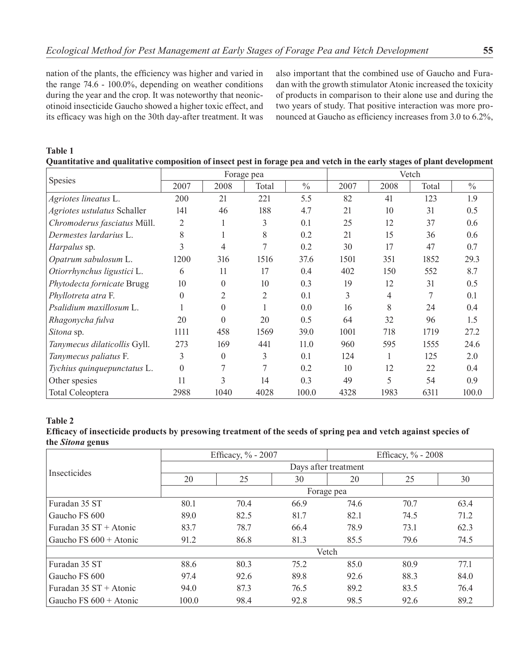nation of the plants, the efficiency was higher and varied in the range 74.6 - 100.0%, depending on weather conditions during the year and the crop. It was noteworthy that neonicotinoid insecticide Gaucho showed a higher toxic effect, and its efficacy was high on the 30th day-after treatment. It was also important that the combined use of Gaucho and Furadan with the growth stimulator Atonic increased the toxicity of products in comparison to their alone use and during the two years of study. That positive interaction was more pronounced at Gaucho as efficiency increases from 3.0 to 6.2%,

#### **Table 1**

|  |  | Quantitative and qualitative composition of insect pest in forage pea and vetch in the early stages of plant development |
|--|--|--------------------------------------------------------------------------------------------------------------------------|
|--|--|--------------------------------------------------------------------------------------------------------------------------|

| <b>Spesies</b>               | Forage pea    |                |                | Vetch         |      |      |       |               |
|------------------------------|---------------|----------------|----------------|---------------|------|------|-------|---------------|
|                              | 2007          | 2008           | Total          | $\frac{0}{0}$ | 2007 | 2008 | Total | $\frac{0}{0}$ |
| Agriotes lineatus L.         | 200           | 21             | 221            | 5.5           | 82   | 41   | 123   | 1.9           |
| Agriotes ustulatus Schaller  | 141           | 46             | 188            | 4.7           | 21   | 10   | 31    | 0.5           |
| Chromoderus fasciatus Müll.  | 2             |                | 3              | 0.1           | 25   | 12   | 37    | 0.6           |
| Dermestes lardarius L.       | 8             |                | 8              | 0.2           | 21   | 15   | 36    | 0.6           |
| Harpalus sp.                 | $\mathcal{E}$ | 4              | 7              | 0.2           | 30   | 17   | 47    | 0.7           |
| Opatrum sabulosum L.         | 1200          | 316            | 1516           | 37.6          | 1501 | 351  | 1852  | 29.3          |
| Otiorrhynchus ligustici L.   | 6             | 11             | 17             | 0.4           | 402  | 150  | 552   | 8.7           |
| Phytodecta fornicate Brugg   | 10            | $\theta$       | 10             | 0.3           | 19   | 12   | 31    | 0.5           |
| Phyllotreta atra F.          | $\Omega$      | $\overline{2}$ | $\overline{2}$ | 0.1           | 3    | 4    | 7     | 0.1           |
| Psalidium maxillosum L.      |               | $\theta$       |                | 0.0           | 16   | 8    | 24    | 0.4           |
| Rhagonycha fulva             | 20            | $\Omega$       | 20             | 0.5           | 64   | 32   | 96    | 1.5           |
| Sitona sp.                   | 1111          | 458            | 1569           | 39.0          | 1001 | 718  | 1719  | 27.2          |
| Tanymecus dilaticollis Gyll. | 273           | 169            | 441            | 11.0          | 960  | 595  | 1555  | 24.6          |
| Tanymecus paliatus F.        | 3             | $\theta$       | 3              | 0.1           | 124  |      | 125   | 2.0           |
| Tychius quinquepunctatus L.  | $\Omega$      | 7              | 7              | 0.2           | 10   | 12   | 22    | 0.4           |
| Other spesies                | 11            | $\mathcal{R}$  | 14             | 0.3           | 49   | 5    | 54    | 0.9           |
| <b>Total Coleoptera</b>      | 2988          | 1040           | 4028           | 100.0         | 4328 | 1983 | 6311  | 100.0         |

#### **Table 2**

**Efficacy of insecticide products by presowing treatment of the seeds of spring pea and vetch against species of the** *Sitona* **genus**

|                          | Efficacy, % - 2007   |      |      | Efficacy, $\%$ - 2008 |      |      |  |  |
|--------------------------|----------------------|------|------|-----------------------|------|------|--|--|
|                          | Days after treatment |      |      |                       |      |      |  |  |
| <b>Insecticides</b>      | 20                   | 25   | 30   | 20                    | 25   | 30   |  |  |
|                          | Forage pea           |      |      |                       |      |      |  |  |
| Furadan 35 ST            | 80.1                 | 70.4 | 66.9 | 74.6                  | 70.7 | 63.4 |  |  |
| Gaucho FS 600            | 89.0                 | 82.5 | 81.7 | 82.1                  | 74.5 | 71.2 |  |  |
| Furadan $35ST + Atomic$  | 83.7                 | 78.7 | 66.4 | 78.9                  | 73.1 | 62.3 |  |  |
| Gaucho FS $600 +$ Atonic | 91.2                 | 86.8 | 81.3 | 85.5                  | 79.6 | 74.5 |  |  |
|                          | Vetch                |      |      |                       |      |      |  |  |
| Furadan 35 ST            | 88.6                 | 80.3 | 75.2 | 85.0                  | 80.9 | 77.1 |  |  |
| Gaucho FS 600            | 97.4                 | 92.6 | 89.8 | 92.6                  | 88.3 | 84.0 |  |  |
| Furadan $35ST +$ Atonic  | 94.0                 | 87.3 | 76.5 | 89.2                  | 83.5 | 76.4 |  |  |
| Gaucho FS $600 +$ Atonic | 100.0                | 98.4 | 92.8 | 98.5                  | 92.6 | 89.2 |  |  |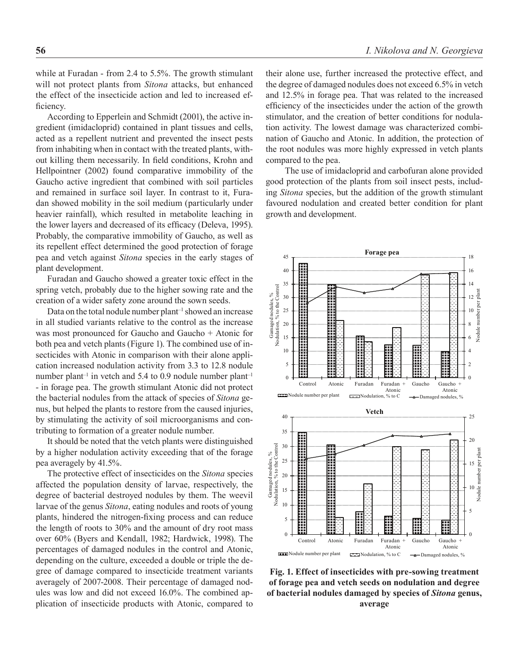while at Furadan - from 2.4 to 5.5%. The growth stimulant will not protect plants from *Sitona* attacks, but enhanced the effect of the insecticide action and led to increased efficiency.

According to Epperlein and Schmidt (2001), the active ingredient (imidacloprid) contained in plant tissues and cells, acted as a repellent nutrient and prevented the insect pests from inhabiting when in contact with the treated plants, without killing them necessarily. In field conditions, Krohn and Hellpointner (2002) found comparative immobility of the Gaucho active ingredient that combined with soil particles and remained in surface soil layer. In contrast to it, Furadan showed mobility in the soil medium (particularly under heavier rainfall), which resulted in metabolite leaching in the lower layers and decreased of its efficacy (Deleva, 1995). Probably, the comparative immobility of Gaucho, as well as its repellent effect determined the good protection of forage pea and vetch against *Sitona* species in the early stages of plant development.

Furadan and Gaucho showed a greater toxic effect in the spring vetch, probably due to the higher sowing rate and the creation of a wider safety zone around the sown seeds.

Data on the total nodule number plant<sup>-1</sup> showed an increase in all studied variants relative to the control as the increase was most pronounced for Gaucho and Gaucho + Atonic for both pea and vetch plants (Figure 1). The combined use of insecticides with Atonic in comparison with their alone application increased nodulation activity from 3.3 to 12.8 nodule number plant<sup>-1</sup> in vetch and 5.4 to 0.9 nodule number plant<sup>-1</sup> - in forage pea. The growth stimulant Atonic did not protect the bacterial nodules from the attack of species of *Sitona* genus, but helped the plants to restore from the caused injuries, by stimulating the activity of soil microorganisms and contributing to formation of a greater nodule number.

It should be noted that the vetch plants were distinguished by a higher nodulation activity exceeding that of the forage pea averagely by 41.5%.

The protective effect of insecticides on the *Sitona* species affected the population density of larvae, respectively, the degree of bacterial destroyed nodules by them. The weevil larvae of the genus *Sitona*, eating nodules and roots of young plants, hindered the nitrogen-fixing process and can reduce the length of roots to 30% and the amount of dry root mass over 60% (Byers and Kendall, 1982; Hardwick, 1998). The percentages of damaged nodules in the control and Atonic, depending on the culture, exceeded a double or triple the degree of damage compared to insecticide treatment variants averagely of 2007-2008. Their percentage of damaged nodules was low and did not exceed 16.0%. The combined application of insecticide products with Atonic, compared to their alone use, further increased the protective effect, and the degree of damaged nodules does not exceed 6.5% in vetch and 12.5% in forage pea. That was related to the increased efficiency of the insecticides under the action of the growth stimulator, and the creation of better conditions for nodulation activity. The lowest damage was characterized combination of Gaucho and Atonic. In addition, the protection of the root nodules was more highly expressed in vetch plants compared to the pea.

The use of imidacloprid and carbofuran alone provided good protection of the plants from soil insect pests, including *Sitona* species, but the addition of the growth stimulant favoured nodulation and created better condition for plant growth and development.



**Fig. 1. Effect of insecticides with pre-sowing treatment of forage pea and vetch seeds on nodulation and degree of bacterial nodules damaged by species of** *Sitona* **genus, average**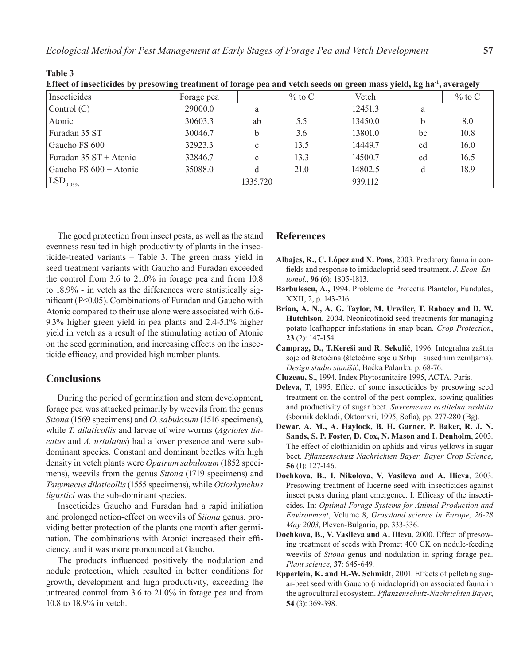| effect of insecticines by presowing treatment of forage pea and vettin secus on green mass yield, kg ha , averagely |            |              |           |         |    |           |  |  |
|---------------------------------------------------------------------------------------------------------------------|------------|--------------|-----------|---------|----|-----------|--|--|
| Insecticides                                                                                                        | Forage pea |              | $\%$ to C | Vetch   |    | $\%$ to C |  |  |
| Control $(C)$                                                                                                       | 29000.0    | a            |           | 12451.3 | a  |           |  |  |
| Atonic                                                                                                              | 30603.3    | ab           | 5.5       | 13450.0 | h  | 8.0       |  |  |
| Furadan 35 ST                                                                                                       | 30046.7    | b            | 3.6       | 13801.0 | bc | 10.8      |  |  |
| Gaucho FS 600                                                                                                       | 32923.3    | $\mathbf{c}$ | 13.5      | 14449.7 | cd | 16.0      |  |  |
| Furadan $35ST + Atomic$                                                                                             | 32846.7    | $\mathbf{c}$ | 13.3      | 14500.7 | cd | 16.5      |  |  |
| Gaucho $FS 600 + Atomic$                                                                                            | 35088.0    |              | 21.0      | 14802.5 |    | 18.9      |  |  |
| $\text{LSD}_{0.05\%}$                                                                                               |            | 1335.720     |           | 939.112 |    |           |  |  |

| Effect of insecticides by presowing treatment of forage pea and vetch seeds on green mass yield, kg ha <sup>-1</sup> , averagely |  |  |  |  |  |
|----------------------------------------------------------------------------------------------------------------------------------|--|--|--|--|--|
|----------------------------------------------------------------------------------------------------------------------------------|--|--|--|--|--|

The good protection from insect pests, as well as the stand evenness resulted in high productivity of plants in the insecticide-treated variants – Table 3. The green mass yield in seed treatment variants with Gaucho and Furadan exceeded the control from 3.6 to 21.0% in forage pea and from 10.8 to 18.9% - in vetch as the differences were statistically significant (Р<0.05). Combinations of Furadan and Gaucho with Atonic compared to their use alone were associated with 6.6- 9.3% higher green yield in pea plants and 2.4-5.1% higher yield in vetch as a result of the stimulating action of Atonic on the seed germination, and increasing effects on the insecticide efficacy, and provided high number plants.

## **Conclusions**

**Table 3**

During the period of germination and stem development, forage pea was attacked primarily by weevils from the genus *Sitona* (1569 specimens) and *O. sabulosum* (1516 specimens), while *T. dilaticollis* and larvae of wire worms (*Agriotes lineatus* and *A. ustulatus*) had a lower presence and were subdominant species. Constant and dominant beetles with high density in vetch plants were *Opatrum sabulosum* (1852 specimens), weevils from the genus *Sitona* (1719 specimens) and *Tanymecus dilaticollis* (1555 specimens), while *Otiorhynchus ligustici* was the sub-dominant species.

Insecticides Gaucho and Furadan had a rapid initiation and prolonged action-effect on weevils of *Sitona* genus, providing better protection of the plants one month after germination. The combinations with Atonici increased their efficiency, and it was more pronounced at Gaucho.

The products influenced positively the nodulation and nodule protection, which resulted in better conditions for growth, development and high productivity, exceeding the untreated control from 3.6 to 21.0% in forage pea and from 10.8 to 18.9% in vetch.

#### **References**

- **Albajes, R., C. López and X. Pons**, 2003. Predatory fauna in confields and response to imidacloprid seed treatment. *J. Econ. Entomol*., **96** (6): 1805-1813.
- **Barbulescu, A.,** 1994. Probleme de Protectia Plantelor, Fundulea, XXII, 2, p. 143-216.
- **Brian, A. N., A. G. Taylor, M. Urwiler, T. Rabaey and D. W. Hutchison**, 2004. Neonicotinoid seed treatments for managing potato leafhopper infestations in snap bean. *Crop Protection*, **23** (2): 147-154.
- **Čamprag, D., T.Kereši and R. Sekulić**, 1996. Integralna zaštita soje od štetoćina (štetoćine soje u Srbiji i susednim zemljama). *Design studio stanišić*, Baćka Palanka. p. 68-76.
- **Cluzeau, S**., 1994. Index Phytosanitaire 1995, ACTA, Paris.
- **Deleva, T**, 1995. Effect of some insecticides by presowing seed treatment on the control of the pest complex, sowing qualities and productivity of sugar beet. *Suvremenna rastitelna zashtita* (sbornik dokladi, Oktomvri, 1995, Sofia), pp. 277-280 (Bg).
- **Dewar, A. M., A. Haylock, B. H. Garner, P. Baker, R. J. N. Sands, S. P. Foster, D. Cox, N. Mason and I. Denholm**, 2003. The effect of clothianidin on aphids and virus yellows in sugar beet. *Pflanzenschutz Nachrichten Bayer, Bayer Crop Science*, **56** (1): 127-146.
- **Dochkova, B., I. Nikolova, V. Vasileva and A. Ilieva**, 2003. Presowing treatment of lucerne seed with insecticides against insect pests during plant emergence. I. Efficasy of the insecticides. In: *Optimal Forage Systems for Animal Production and Environment*, Volume 8, *Grassland science in Europe, 26-28 May 2003*, Pleven-Bulgaria, pp. 333-336.
- **Dochkova, B., V. Vasileva and A. Ilieva**, 2000. Effect of presowing treatment of seeds with Promet 400 CK on nodule-feeding weevils of *Sitona* genus and nodulation in spring forage pea. *Plant science*, **37**: 645-649.
- **Epperlein, K. and H.-W. Schmidt**, 2001. Effects of pelleting sugar-beet seed with Gaucho (imidacloprid) on associated fauna in the agrocultural ecosystem. *Pflanzenschutz-Nachrichten Bayer*, **54** (3): 369-398.